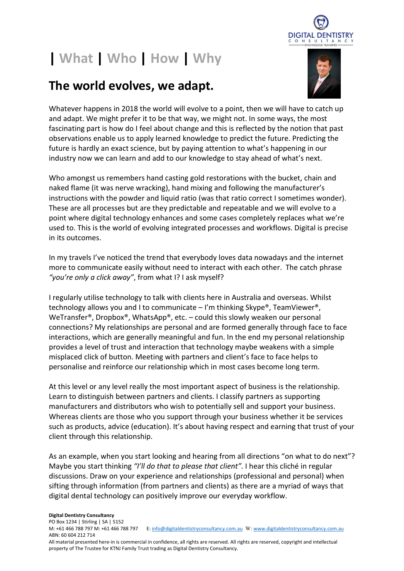

## | What | Who | How | Why

## The world evolves, we adapt.



Whatever happens in 2018 the world will evolve to a point, then we will have to catch up and adapt. We might prefer it to be that way, we might not. In some ways, the most fascinating part is how do I feel about change and this is reflected by the notion that past observations enable us to apply learned knowledge to predict the future. Predicting the future is hardly an exact science, but by paying attention to what's happening in our industry now we can learn and add to our knowledge to stay ahead of what's next.

Who amongst us remembers hand casting gold restorations with the bucket, chain and naked flame (it was nerve wracking), hand mixing and following the manufacturer's instructions with the powder and liquid ratio (was that ratio correct I sometimes wonder). These are all processes but are they predictable and repeatable and we will evolve to a point where digital technology enhances and some cases completely replaces what we're used to. This is the world of evolving integrated processes and workflows. Digital is precise in its outcomes.

In my travels I've noticed the trend that everybody loves data nowadays and the internet more to communicate easily without need to interact with each other. The catch phrase "you're only a click away", from what I? I ask myself?

I regularly utilise technology to talk with clients here in Australia and overseas. Whilst technology allows you and I to communicate – I'm thinking Skype®, TeamViewer®, WeTransfer®, Dropbox®, WhatsApp®, etc. – could this slowly weaken our personal connections? My relationships are personal and are formed generally through face to face interactions, which are generally meaningful and fun. In the end my personal relationship provides a level of trust and interaction that technology maybe weakens with a simple misplaced click of button. Meeting with partners and client's face to face helps to personalise and reinforce our relationship which in most cases become long term.

At this level or any level really the most important aspect of business is the relationship. Learn to distinguish between partners and clients. I classify partners as supporting manufacturers and distributors who wish to potentially sell and support your business. Whereas clients are those who you support through your business whether it be services such as products, advice (education). It's about having respect and earning that trust of your client through this relationship.

As an example, when you start looking and hearing from all directions "on what to do next"? Maybe you start thinking "I'll do that to please that client". I hear this cliché in regular discussions. Draw on your experience and relationships (professional and personal) when sifting through information (from partners and clients) as there are a myriad of ways that digital dental technology can positively improve our everyday workflow.